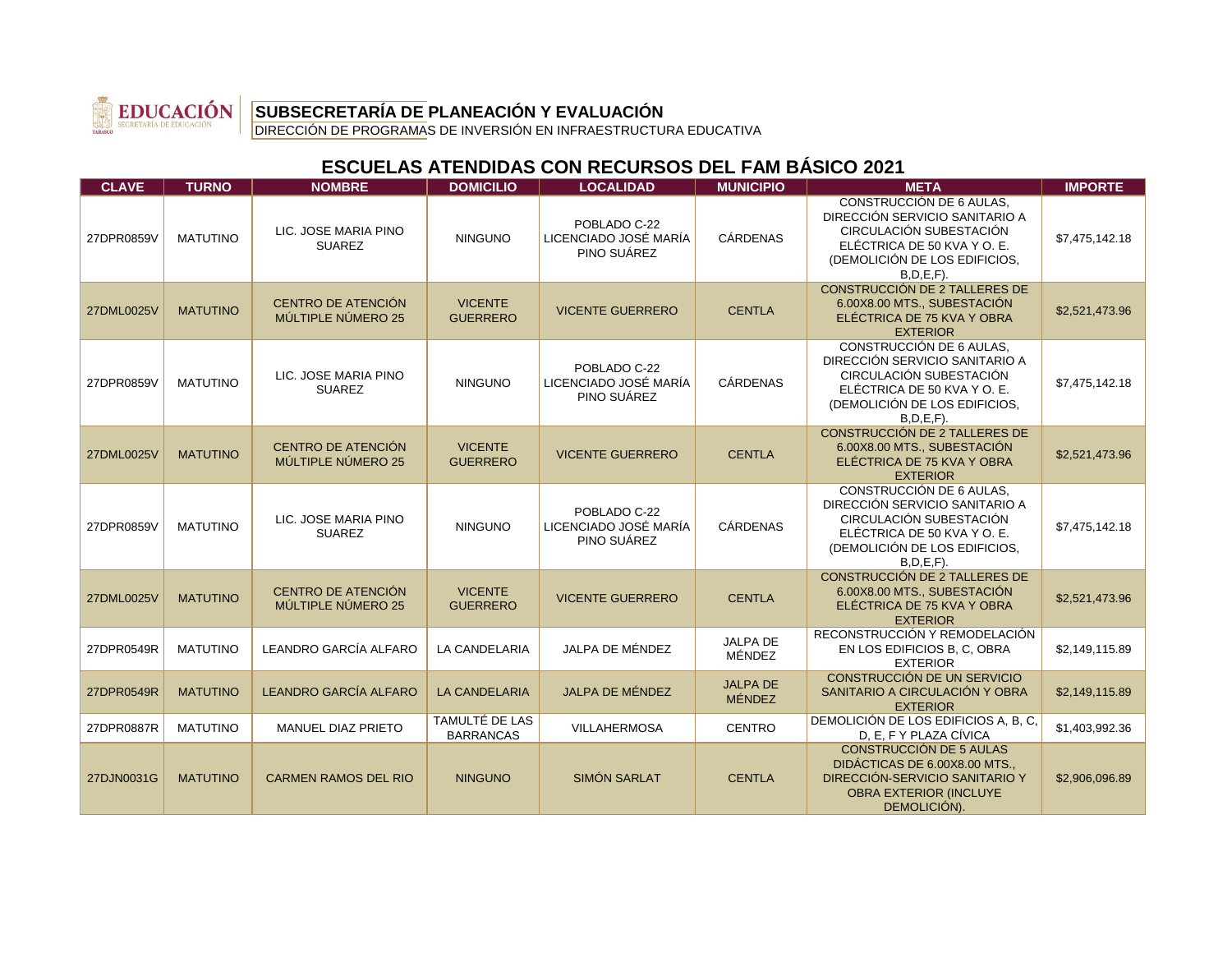

DIRECCIÓN DE PROGRAMAS DE INVERSIÓN EN INFRAESTRUCTURA EDUCATIVA

| <b>CLAVE</b> | <b>TURNO</b>    | <b>NOMBRE</b>                                   | <b>DOMICILIO</b>                   | <b>LOCALIDAD</b>                                     | <b>MUNICIPIO</b>                 | <b>META</b>                                                                                                                                                                  | <b>IMPORTE</b> |
|--------------|-----------------|-------------------------------------------------|------------------------------------|------------------------------------------------------|----------------------------------|------------------------------------------------------------------------------------------------------------------------------------------------------------------------------|----------------|
| 27DPR0859V   | <b>MATUTINO</b> | LIC. JOSE MARIA PINO<br><b>SUAREZ</b>           | <b>NINGUNO</b>                     | POBLADO C-22<br>LICENCIADO JOSÉ MARÍA<br>PINO SUÁREZ | <b>CÁRDENAS</b>                  | <b>CONSTRUCCIÓN DE 6 AULAS.</b><br>DIRECCIÓN SERVICIO SANITARIO A<br>CIRCULACIÓN SUBESTACIÓN<br>ELÉCTRICA DE 50 KVA Y O. E.<br>(DEMOLICIÓN DE LOS EDIFICIOS,<br>$B.D.E.F$ ). | \$7,475,142.18 |
| 27DML0025V   | <b>MATUTINO</b> | <b>CENTRO DE ATENCIÓN</b><br>MÚLTIPLE NÚMERO 25 | <b>VICENTE</b><br><b>GUERRERO</b>  | <b>VICENTE GUERRERO</b>                              | <b>CENTLA</b>                    | CONSTRUCCIÓN DE 2 TALLERES DE<br>6.00X8.00 MTS., SUBESTACIÓN<br>ELÉCTRICA DE 75 KVA Y OBRA<br><b>EXTERIOR</b>                                                                | \$2,521,473.96 |
| 27DPR0859V   | <b>MATUTINO</b> | LIC. JOSE MARIA PINO<br><b>SUAREZ</b>           | <b>NINGUNO</b>                     | POBLADO C-22<br>LICENCIADO JOSÉ MARÍA<br>PINO SUÁREZ | <b>CÁRDENAS</b>                  | CONSTRUCCIÓN DE 6 AULAS.<br>DIRECCIÓN SERVICIO SANITARIO A<br>CIRCULACIÓN SUBESTACIÓN<br>ELÉCTRICA DE 50 KVA Y O. E.<br>(DEMOLICIÓN DE LOS EDIFICIOS,<br>$B.D.E.F$ ).        | \$7,475,142.18 |
| 27DML0025V   | <b>MATUTINO</b> | <b>CENTRO DE ATENCIÓN</b><br>MÚLTIPLE NÚMERO 25 | <b>VICENTE</b><br><b>GUERRERO</b>  | <b>VICENTE GUERRERO</b>                              | <b>CENTLA</b>                    | CONSTRUCCIÓN DE 2 TALLERES DE<br>6.00X8.00 MTS., SUBESTACIÓN<br>ELÉCTRICA DE 75 KVA Y OBRA<br><b>EXTERIOR</b>                                                                | \$2,521,473.96 |
| 27DPR0859V   | <b>MATUTINO</b> | LIC. JOSE MARIA PINO<br><b>SUAREZ</b>           | <b>NINGUNO</b>                     | POBLADO C-22<br>LICENCIADO JOSÉ MARÍA<br>PINO SUÁREZ | <b>CÁRDENAS</b>                  | <b>CONSTRUCCIÓN DE 6 AULAS,</b><br>DIRECCIÓN SERVICIO SANITARIO A<br>CIRCULACIÓN SUBESTACIÓN<br>ELÉCTRICA DE 50 KVA Y O. E.<br>(DEMOLICIÓN DE LOS EDIFICIOS,<br>$B.D.E.F$ ). | \$7,475,142.18 |
| 27DML0025V   | <b>MATUTINO</b> | CENTRO DE ATENCIÓN<br>MÚLTIPLE NÚMERO 25        | <b>VICENTE</b><br><b>GUERRERO</b>  | <b>VICENTE GUERRERO</b>                              | <b>CENTLA</b>                    | CONSTRUCCIÓN DE 2 TALLERES DE<br>6.00X8.00 MTS., SUBESTACIÓN<br>ELÉCTRICA DE 75 KVA Y OBRA<br><b>EXTERIOR</b>                                                                | \$2,521,473.96 |
| 27DPR0549R   | <b>MATUTINO</b> | LEANDRO GARCÍA ALFARO                           | <b>LA CANDELARIA</b>               | JALPA DE MÉNDEZ                                      | JALPA DE<br>MÉNDEZ               | RECONSTRUCCIÓN Y REMODELACIÓN<br>EN LOS EDIFICIOS B, C, OBRA<br><b>EXTERIOR</b>                                                                                              | \$2,149,115.89 |
| 27DPR0549R   | <b>MATUTINO</b> | LEANDRO GARCÍA ALFARO                           | <b>LA CANDELARIA</b>               | <b>JALPA DE MÉNDEZ</b>                               | <b>JALPA DE</b><br><b>MÉNDEZ</b> | CONSTRUCCIÓN DE UN SERVICIO<br>SANITARIO A CIRCULACIÓN Y OBRA<br><b>EXTERIOR</b>                                                                                             | \$2,149,115.89 |
| 27DPR0887R   | <b>MATUTINO</b> | MANUEL DIAZ PRIETO                              | TAMULTÉ DE LAS<br><b>BARRANCAS</b> | <b>VILLAHERMOSA</b>                                  | <b>CENTRO</b>                    | DEMOLICIÓN DE LOS EDIFICIOS A, B, C,<br>D. E. F Y PLAZA CÍVICA                                                                                                               | \$1,403,992.36 |
| 27DJN0031G   | <b>MATUTINO</b> | <b>CARMEN RAMOS DEL RIO</b>                     | <b>NINGUNO</b>                     | SIMÓN SARLAT                                         | <b>CENTLA</b>                    | <b>CONSTRUCCIÓN DE 5 AULAS</b><br>DIDÁCTICAS DE 6.00X8.00 MTS<br>DIRECCIÓN-SERVICIO SANITARIO Y<br><b>OBRA EXTERIOR (INCLUYE</b><br>DEMOLICIÓN).                             | \$2,906,096.89 |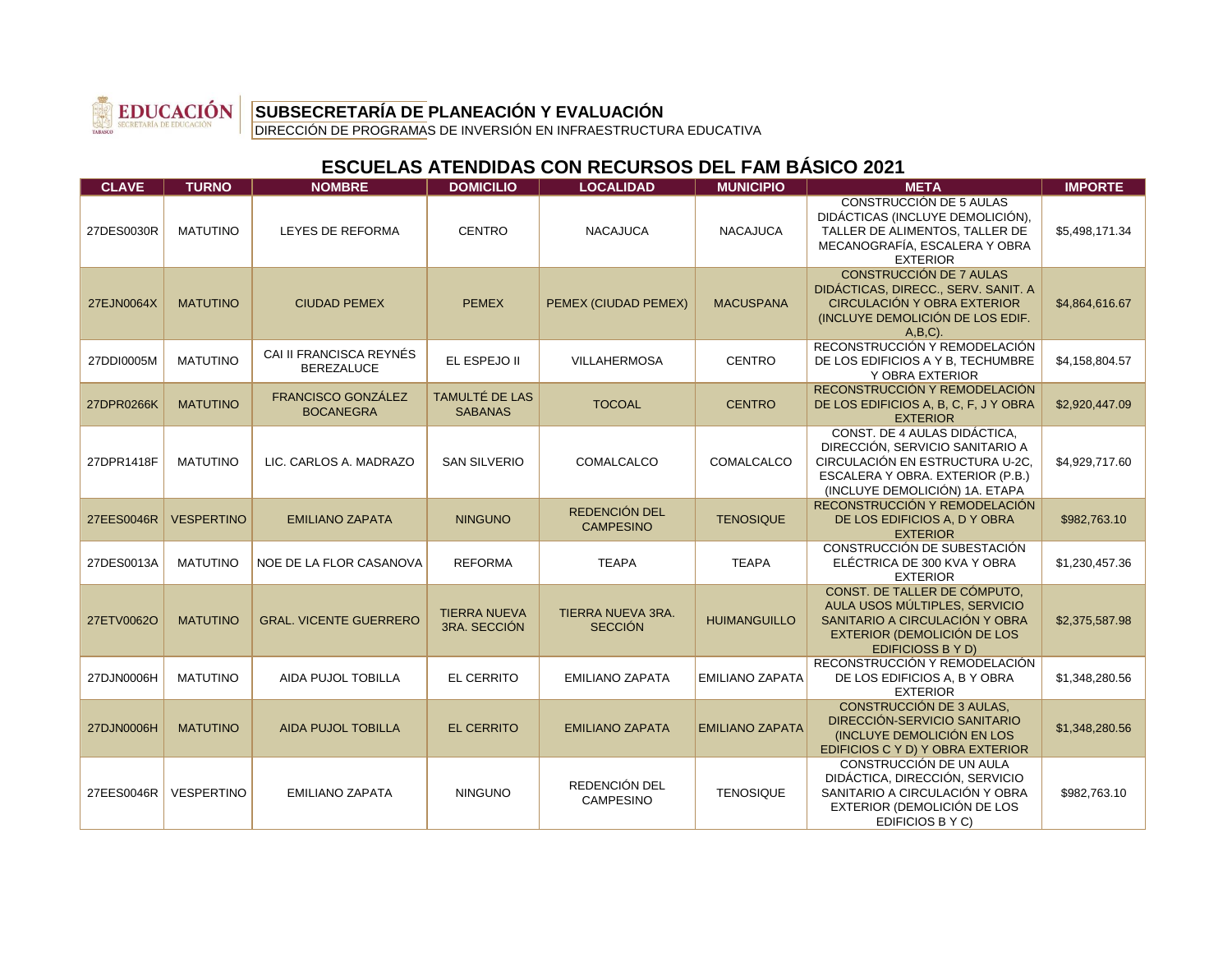

DIRECCIÓN DE PROGRAMAS DE INVERSIÓN EN INFRAESTRUCTURA EDUCATIVA

| <b>CLAVE</b> | <b>TURNO</b>      | <b>NOMBRE</b>                                 | <b>DOMICILIO</b>                        | <b>LOCALIDAD</b>                           | <b>MUNICIPIO</b>       | <b>META</b>                                                                                                                                                              | <b>IMPORTE</b> |
|--------------|-------------------|-----------------------------------------------|-----------------------------------------|--------------------------------------------|------------------------|--------------------------------------------------------------------------------------------------------------------------------------------------------------------------|----------------|
| 27DES0030R   | <b>MATUTINO</b>   | LEYES DE REFORMA                              | <b>CENTRO</b>                           | <b>NACAJUCA</b>                            | <b>NACAJUCA</b>        | <b>CONSTRUCCIÓN DE 5 AULAS</b><br>DIDÁCTICAS (INCLUYE DEMOLICIÓN),<br>TALLER DE ALIMENTOS. TALLER DE<br>MECANOGRAFÍA, ESCALERA Y OBRA<br><b>EXTERIOR</b>                 | \$5,498,171.34 |
| 27EJN0064X   | <b>MATUTINO</b>   | <b>CIUDAD PEMEX</b>                           | <b>PEMEX</b>                            | PEMEX (CIUDAD PEMEX)                       | <b>MACUSPANA</b>       | <b>CONSTRUCCIÓN DE 7 AULAS</b><br>DIDÁCTICAS, DIRECC., SERV. SANIT. A<br>CIRCULACIÓN Y OBRA EXTERIOR<br>(INCLUYE DEMOLICIÓN DE LOS EDIF.<br>$A,B,C$ ).                   | \$4,864,616.67 |
| 27DDI0005M   | <b>MATUTINO</b>   | CAI II FRANCISCA REYNÉS<br><b>BEREZALUCE</b>  | EL ESPEJO II                            | <b>VILLAHERMOSA</b>                        | <b>CENTRO</b>          | RECONSTRUCCIÓN Y REMODELACIÓN<br>DE LOS EDIFICIOS A Y B, TECHUMBRE<br>Y OBRA EXTERIOR                                                                                    | \$4,158,804.57 |
| 27DPR0266K   | <b>MATUTINO</b>   | <b>FRANCISCO GONZÁLEZ</b><br><b>BOCANEGRA</b> | <b>TAMULTÉ DE LAS</b><br><b>SABANAS</b> | <b>TOCOAL</b>                              | <b>CENTRO</b>          | RECONSTRUCCIÓN Y REMODELACIÓN<br>DE LOS EDIFICIOS A, B, C, F, J Y OBRA<br><b>EXTERIOR</b>                                                                                | \$2,920,447.09 |
| 27DPR1418F   | <b>MATUTINO</b>   | LIC. CARLOS A. MADRAZO                        | <b>SAN SILVERIO</b>                     | COMALCALCO                                 | COMALCALCO             | CONST. DE 4 AULAS DIDÁCTICA,<br>DIRECCIÓN, SERVICIO SANITARIO A<br>CIRCULACIÓN EN ESTRUCTURA U-2C.<br>ESCALERA Y OBRA. EXTERIOR (P.B.)<br>(INCLUYE DEMOLICIÓN) 1A. ETAPA | \$4,929,717.60 |
| 27EES0046R   | <b>VESPERTINO</b> | <b>EMILIANO ZAPATA</b>                        | <b>NINGUNO</b>                          | REDENCIÓN DEL<br><b>CAMPESINO</b>          | <b>TENOSIQUE</b>       | RECONSTRUCCIÓN Y REMODELACIÓN<br>DE LOS EDIFICIOS A, D Y OBRA<br><b>EXTERIOR</b>                                                                                         | \$982,763.10   |
| 27DES0013A   | <b>MATUTINO</b>   | NOE DE LA FLOR CASANOVA                       | <b>REFORMA</b>                          | <b>TEAPA</b>                               | <b>TEAPA</b>           | CONSTRUCCIÓN DE SUBESTACIÓN<br>ELÉCTRICA DE 300 KVA Y OBRA<br><b>EXTERIOR</b>                                                                                            | \$1,230,457.36 |
| 27ETV0062O   | <b>MATUTINO</b>   | <b>GRAL, VICENTE GUERRERO</b>                 | <b>TIERRA NUEVA</b><br>3RA. SECCIÓN     | <b>TIERRA NUEVA 3RA.</b><br><b>SECCIÓN</b> | <b>HUIMANGUILLO</b>    | CONST. DE TALLER DE CÓMPUTO.<br>AULA USOS MÚLTIPLES. SERVICIO<br>SANITARIO A CIRCULACIÓN Y OBRA<br>EXTERIOR (DEMOLICIÓN DE LOS<br>EDIFICIOSS B Y D)                      | \$2,375,587.98 |
| 27DJN0006H   | <b>MATUTINO</b>   | <b>AIDA PUJOL TOBILLA</b>                     | <b>EL CERRITO</b>                       | <b>EMILIANO ZAPATA</b>                     | <b>EMILIANO ZAPATA</b> | RECONSTRUCCIÓN Y REMODELACIÓN<br>DE LOS EDIFICIOS A, B Y OBRA<br><b>EXTERIOR</b>                                                                                         | \$1,348,280.56 |
| 27DJN0006H   | <b>MATUTINO</b>   | <b>AIDA PUJOL TOBILLA</b>                     | <b>EL CERRITO</b>                       | <b>EMILIANO ZAPATA</b>                     | <b>EMILIANO ZAPATA</b> | <b>CONSTRUCCIÓN DE 3 AULAS.</b><br>DIRECCIÓN-SERVICIO SANITARIO<br>(INCLUYE DEMOLICIÓN EN LOS<br>EDIFICIOS C Y D) Y OBRA EXTERIOR                                        | \$1,348,280.56 |
| 27EES0046R   | <b>VESPERTINO</b> | <b>EMILIANO ZAPATA</b>                        | <b>NINGUNO</b>                          | REDENCIÓN DEL<br><b>CAMPESINO</b>          | <b>TENOSIQUE</b>       | <b>CONSTRUCCIÓN DE UN AULA</b><br>DIDÁCTICA, DIRECCIÓN, SERVICIO<br>SANITARIO A CIRCULACIÓN Y OBRA<br>EXTERIOR (DEMOLICIÓN DE LOS<br>EDIFICIOS B Y C)                    | \$982,763.10   |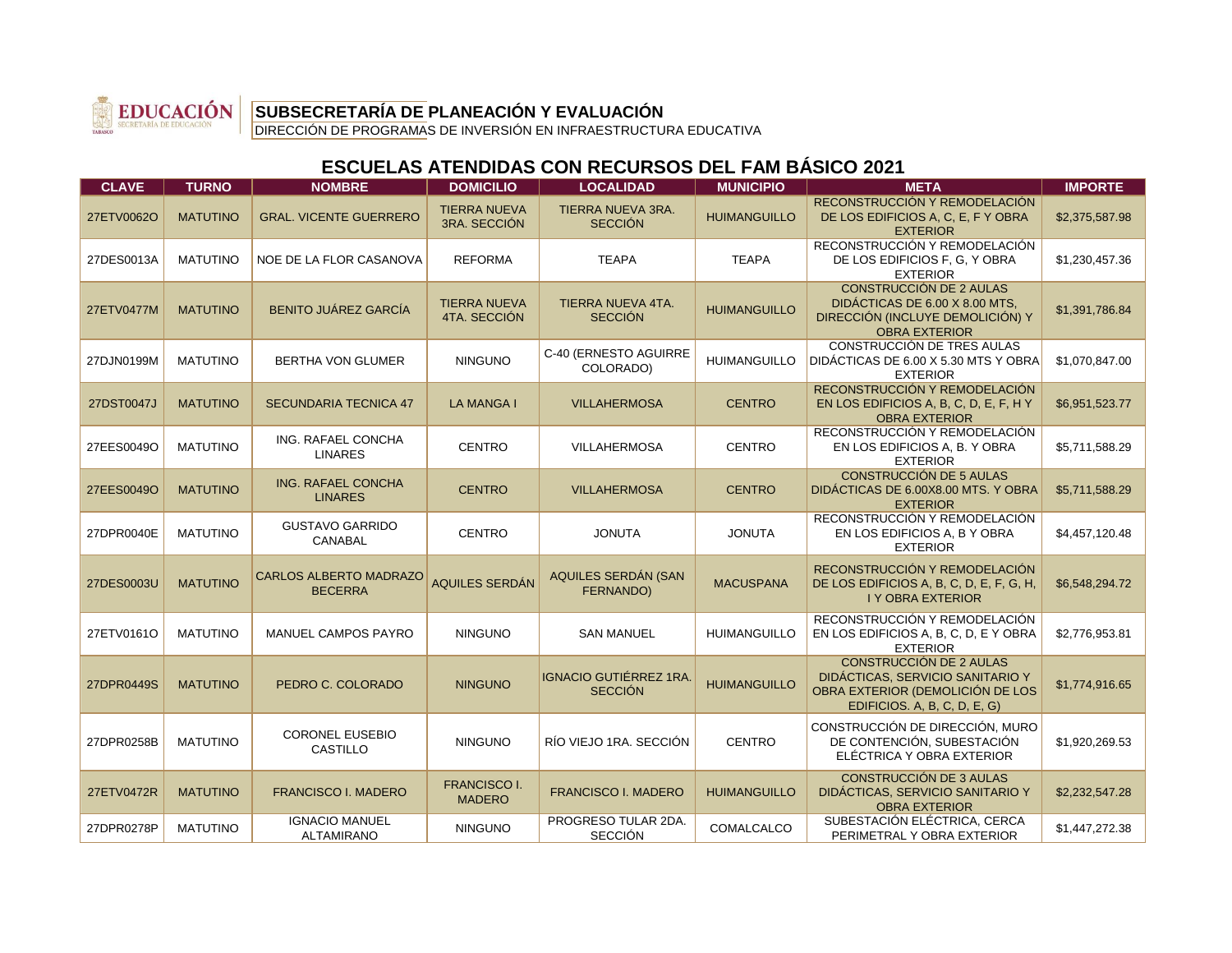

DIRECCIÓN DE PROGRAMAS DE INVERSIÓN EN INFRAESTRUCTURA EDUCATIVA

| <b>CLAVE</b> | <b>TURNO</b>    | <b>NOMBRE</b>                                   | <b>DOMICILIO</b>                     | <b>LOCALIDAD</b>                               | <b>MUNICIPIO</b>    | <b>META</b>                                                                                                                            | <b>IMPORTE</b> |
|--------------|-----------------|-------------------------------------------------|--------------------------------------|------------------------------------------------|---------------------|----------------------------------------------------------------------------------------------------------------------------------------|----------------|
| 27ETV0062O   | <b>MATUTINO</b> | <b>GRAL. VICENTE GUERRERO</b>                   | <b>TIERRA NUEVA</b><br>3RA. SECCIÓN  | <b>TIERRA NUEVA 3RA.</b><br><b>SECCIÓN</b>     | <b>HUIMANGUILLO</b> | RECONSTRUCCIÓN Y REMODELACIÓN<br>DE LOS EDIFICIOS A, C, E, F Y OBRA<br><b>EXTERIOR</b>                                                 | \$2,375,587.98 |
| 27DES0013A   | <b>MATUTINO</b> | NOE DE LA FLOR CASANOVA                         | <b>REFORMA</b>                       | <b>TEAPA</b>                                   | <b>TEAPA</b>        | RECONSTRUCCIÓN Y REMODELACIÓN<br>DE LOS EDIFICIOS F, G, Y OBRA<br><b>EXTERIOR</b>                                                      | \$1,230,457.36 |
| 27ETV0477M   | <b>MATUTINO</b> | <b>BENITO JUÁREZ GARCÍA</b>                     | <b>TIERRA NUEVA</b><br>4TA. SECCIÓN  | <b>TIERRA NUEVA 4TA.</b><br><b>SECCIÓN</b>     | <b>HUIMANGUILLO</b> | <b>CONSTRUCCIÓN DE 2 AULAS</b><br>DIDÁCTICAS DE 6.00 X 8.00 MTS.<br>DIRECCIÓN (INCLUYE DEMOLICIÓN) Y<br><b>OBRA EXTERIOR</b>           | \$1,391,786.84 |
| 27DJN0199M   | <b>MATUTINO</b> | <b>BERTHA VON GLUMER</b>                        | <b>NINGUNO</b>                       | C-40 (ERNESTO AGUIRRE<br>COLORADO)             | <b>HUIMANGUILLO</b> | CONSTRUCCIÓN DE TRES AULAS<br>DIDÁCTICAS DE 6.00 X 5.30 MTS Y OBRA<br><b>EXTERIOR</b>                                                  | \$1,070,847.00 |
| 27DST0047J   | <b>MATUTINO</b> | <b>SECUNDARIA TECNICA 47</b>                    | <b>LA MANGA I</b>                    | <b>VILLAHERMOSA</b>                            | <b>CENTRO</b>       | RECONSTRUCCIÓN Y REMODELACIÓN<br>EN LOS EDIFICIOS A, B, C, D, E, F, H Y<br><b>OBRA EXTERIOR</b>                                        | \$6,951,523.77 |
| 27EES0049O   | <b>MATUTINO</b> | ING. RAFAEL CONCHA<br><b>LINARES</b>            | <b>CENTRO</b>                        | VILLAHERMOSA                                   | <b>CENTRO</b>       | RECONSTRUCCIÓN Y REMODELACIÓN<br>EN LOS EDIFICIOS A, B. Y OBRA<br><b>EXTERIOR</b>                                                      | \$5,711,588.29 |
| 27EES0049O   | <b>MATUTINO</b> | <b>ING. RAFAEL CONCHA</b><br><b>LINARES</b>     | <b>CENTRO</b>                        | <b>VILLAHERMOSA</b>                            | <b>CENTRO</b>       | <b>CONSTRUCCIÓN DE 5 AULAS</b><br>DIDÁCTICAS DE 6.00X8.00 MTS. Y OBRA<br><b>EXTERIOR</b>                                               | \$5,711,588.29 |
| 27DPR0040E   | <b>MATUTINO</b> | <b>GUSTAVO GARRIDO</b><br><b>CANABAL</b>        | <b>CENTRO</b>                        | <b>JONUTA</b>                                  | <b>JONUTA</b>       | RECONSTRUCCIÓN Y REMODELACIÓN<br>EN LOS EDIFICIOS A, B Y OBRA<br><b>EXTERIOR</b>                                                       | \$4,457,120.48 |
| 27DES0003U   | <b>MATUTINO</b> | <b>CARLOS ALBERTO MADRAZO</b><br><b>BECERRA</b> | AQUILES SERDÁN                       | AQUILES SERDÁN (SAN<br>FERNANDO)               | <b>MACUSPANA</b>    | RECONSTRUCCIÓN Y REMODELACIÓN<br>DE LOS EDIFICIOS A, B, C, D, E, F, G, H,<br><b>I Y OBRA EXTERIOR</b>                                  | \$6,548,294.72 |
| 27ETV0161O   | <b>MATUTINO</b> | <b>MANUEL CAMPOS PAYRO</b>                      | <b>NINGUNO</b>                       | <b>SAN MANUEL</b>                              | <b>HUIMANGUILLO</b> | RECONSTRUCCIÓN Y REMODELACIÓN<br>EN LOS EDIFICIOS A, B, C, D, E Y OBRA<br><b>EXTERIOR</b>                                              | \$2,776,953.81 |
| 27DPR0449S   | <b>MATUTINO</b> | PEDRO C. COLORADO                               | <b>NINGUNO</b>                       | <b>IGNACIO GUTIÉRREZ 1RA</b><br><b>SECCIÓN</b> | <b>HUIMANGUILLO</b> | <b>CONSTRUCCIÓN DE 2 AULAS</b><br>DIDÁCTICAS, SERVICIO SANITARIO Y<br>OBRA EXTERIOR (DEMOLICIÓN DE LOS<br>EDIFICIOS. A, B, C, D, E, G) | \$1,774,916.65 |
| 27DPR0258B   | <b>MATUTINO</b> | <b>CORONEL EUSEBIO</b><br><b>CASTILLO</b>       | <b>NINGUNO</b>                       | RÍO VIEJO 1RA, SECCIÓN                         | <b>CENTRO</b>       | CONSTRUCCIÓN DE DIRECCIÓN, MURO<br>DE CONTENCIÓN, SUBESTACIÓN<br>ELÉCTRICA Y OBRA EXTERIOR                                             | \$1,920,269.53 |
| 27ETV0472R   | <b>MATUTINO</b> | <b>FRANCISCO I. MADERO</b>                      | <b>FRANCISCO I.</b><br><b>MADERO</b> | <b>FRANCISCO I. MADERO</b>                     | <b>HUIMANGUILLO</b> | <b>CONSTRUCCIÓN DE 3 AULAS</b><br>DIDÁCTICAS, SERVICIO SANITARIO Y<br><b>OBRA EXTERIOR</b>                                             | \$2,232,547.28 |
| 27DPR0278P   | <b>MATUTINO</b> | <b>IGNACIO MANUEL</b><br><b>ALTAMIRANO</b>      | <b>NINGUNO</b>                       | PROGRESO TULAR 2DA.<br><b>SECCIÓN</b>          | COMALCALCO          | SUBESTACIÓN ELÉCTRICA, CERCA<br>PERIMETRAL Y OBRA EXTERIOR                                                                             | \$1,447,272.38 |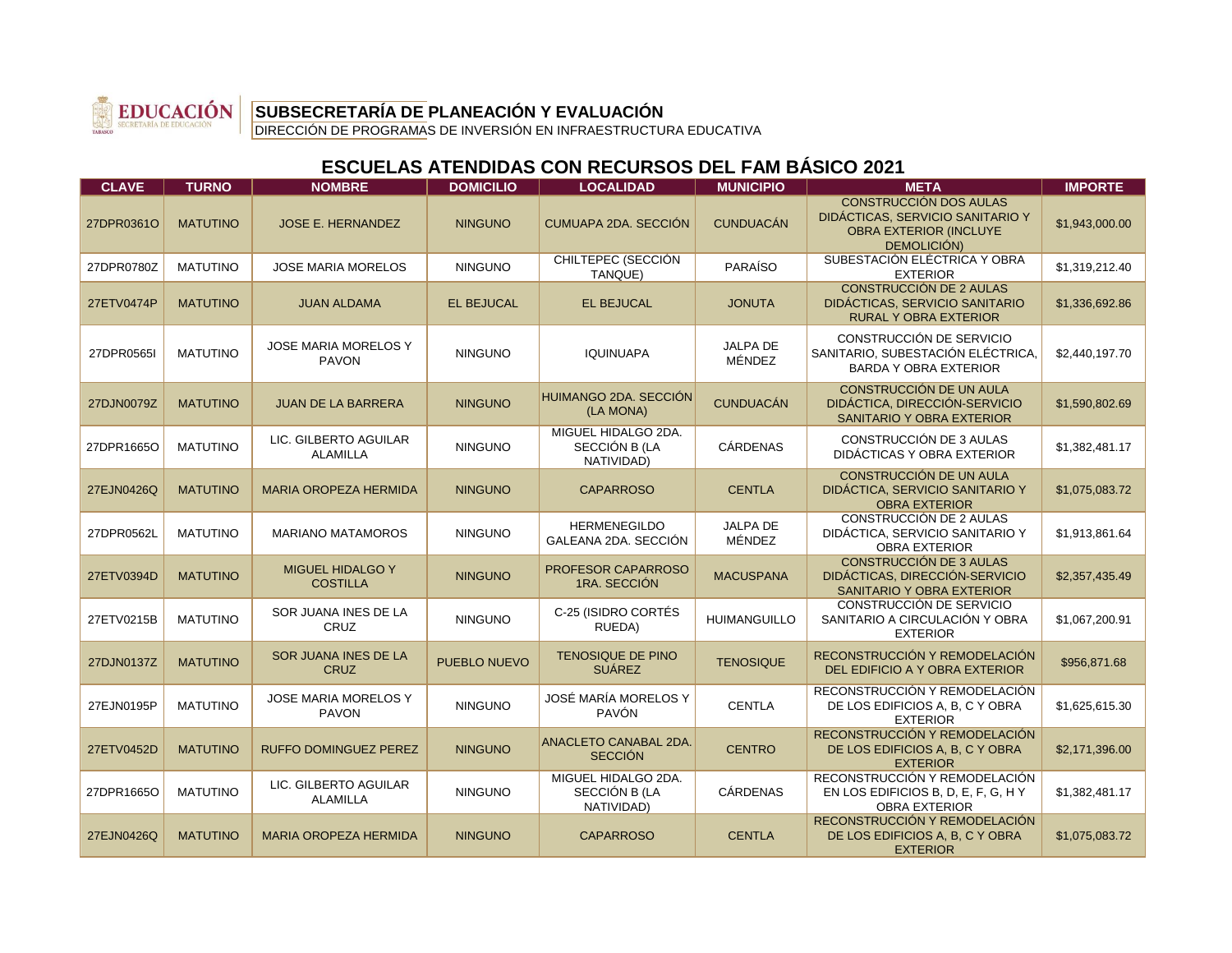

DIRECCIÓN DE PROGRAMAS DE INVERSIÓN EN INFRAESTRUCTURA EDUCATIVA

| <b>CLAVE</b> | <b>TURNO</b>    | <b>NOMBRE</b>                               | <b>DOMICILIO</b>    | <b>LOCALIDAD</b>                                   | <b>MUNICIPIO</b>          | <b>META</b>                                                                                                | <b>IMPORTE</b> |
|--------------|-----------------|---------------------------------------------|---------------------|----------------------------------------------------|---------------------------|------------------------------------------------------------------------------------------------------------|----------------|
| 27DPR0361O   | <b>MATUTINO</b> | <b>JOSE E. HERNANDEZ</b>                    | <b>NINGUNO</b>      | CUMUAPA 2DA. SECCIÓN                               | <b>CUNDUACÁN</b>          | CONSTRUCCIÓN DOS AULAS<br>DIDÁCTICAS, SERVICIO SANITARIO Y<br><b>OBRA EXTERIOR (INCLUYE</b><br>DEMOLICIÓN) | \$1,943,000.00 |
| 27DPR0780Z   | <b>MATUTINO</b> | <b>JOSE MARIA MORELOS</b>                   | <b>NINGUNO</b>      | CHILTEPEC (SECCIÓN<br>TANQUE)                      | <b>PARAÍSO</b>            | SUBESTACIÓN ELÉCTRICA Y OBRA<br><b>EXTERIOR</b>                                                            | \$1,319,212.40 |
| 27ETV0474P   | <b>MATUTINO</b> | <b>JUAN ALDAMA</b>                          | <b>EL BEJUCAL</b>   | <b>EL BEJUCAL</b>                                  | <b>JONUTA</b>             | <b>CONSTRUCCIÓN DE 2 AULAS</b><br>DIDÁCTICAS, SERVICIO SANITARIO<br><b>RURAL Y OBRA EXTERIOR</b>           | \$1,336,692.86 |
| 27DPR0565I   | <b>MATUTINO</b> | <b>JOSE MARIA MORELOS Y</b><br><b>PAVON</b> | <b>NINGUNO</b>      | <b>IQUINUAPA</b>                                   | JALPA DE<br>MÉNDEZ        | CONSTRUCCIÓN DE SERVICIO<br>SANITARIO. SUBESTACIÓN ELÉCTRICA.<br><b>BARDA Y OBRA EXTERIOR</b>              | \$2,440,197.70 |
| 27DJN0079Z   | <b>MATUTINO</b> | <b>JUAN DE LA BARRERA</b>                   | <b>NINGUNO</b>      | HUIMANGO 2DA. SECCIÓN<br>(LA MONA)                 | <b>CUNDUACÁN</b>          | <b>CONSTRUCCIÓN DE UN AULA</b><br>DIDÁCTICA, DIRECCIÓN-SERVICIO<br>SANITARIO Y OBRA EXTERIOR               | \$1,590,802.69 |
| 27DPR1665O   | <b>MATUTINO</b> | LIC. GILBERTO AGUILAR<br><b>ALAMILLA</b>    | <b>NINGUNO</b>      | MIGUEL HIDALGO 2DA.<br>SECCIÓN B (LA<br>NATIVIDAD) | CÁRDENAS                  | CONSTRUCCIÓN DE 3 AULAS<br>DIDÁCTICAS Y OBRA EXTERIOR                                                      | \$1,382,481.17 |
| 27EJN0426Q   | <b>MATUTINO</b> | <b>MARIA OROPEZA HERMIDA</b>                | <b>NINGUNO</b>      | <b>CAPARROSO</b>                                   | <b>CENTLA</b>             | CONSTRUCCIÓN DE UN AULA<br>DIDÁCTICA, SERVICIO SANITARIO Y<br><b>OBRA EXTERIOR</b>                         | \$1,075,083.72 |
| 27DPR0562L   | <b>MATUTINO</b> | <b>MARIANO MATAMOROS</b>                    | <b>NINGUNO</b>      | <b>HERMENEGILDO</b><br>GALEANA 2DA, SECCIÓN        | <b>JALPA DE</b><br>MÉNDEZ | CONSTRUCCIÓN DE 2 AULAS<br>DIDÁCTICA, SERVICIO SANITARIO Y<br><b>OBRA EXTERIOR</b>                         | \$1,913,861.64 |
| 27ETV0394D   | <b>MATUTINO</b> | <b>MIGUEL HIDALGO Y</b><br><b>COSTILLA</b>  | <b>NINGUNO</b>      | PROFESOR CAPARROSO<br>1RA. SECCIÓN                 | <b>MACUSPANA</b>          | <b>CONSTRUCCIÓN DE 3 AULAS</b><br>DIDÁCTICAS, DIRECCIÓN-SERVICIO<br>SANITARIO Y OBRA EXTERIOR              | \$2,357,435.49 |
| 27ETV0215B   | <b>MATUTINO</b> | SOR JUANA INES DE LA<br><b>CRUZ</b>         | <b>NINGUNO</b>      | C-25 (ISIDRO CORTÉS<br>RUEDA)                      | <b>HUIMANGUILLO</b>       | CONSTRUCCIÓN DE SERVICIO<br>SANITARIO A CIRCULACIÓN Y OBRA<br><b>EXTERIOR</b>                              | \$1,067,200.91 |
| 27DJN0137Z   | <b>MATUTINO</b> | SOR JUANA INES DE LA<br><b>CRUZ</b>         | <b>PUEBLO NUEVO</b> | <b>TENOSIQUE DE PINO</b><br><b>SUÁREZ</b>          | <b>TENOSIQUE</b>          | RECONSTRUCCIÓN Y REMODELACIÓN<br>DEL EDIFICIO A Y OBRA EXTERIOR                                            | \$956,871.68   |
| 27EJN0195P   | <b>MATUTINO</b> | JOSE MARIA MORELOS Y<br><b>PAVON</b>        | <b>NINGUNO</b>      | JOSÉ MARÍA MORELOS Y<br><b>PAVÓN</b>               | <b>CENTLA</b>             | RECONSTRUCCIÓN Y REMODELACIÓN<br>DE LOS EDIFICIOS A, B, C Y OBRA<br><b>EXTERIOR</b>                        | \$1,625,615.30 |
| 27ETV0452D   | <b>MATUTINO</b> | <b>RUFFO DOMINGUEZ PEREZ</b>                | <b>NINGUNO</b>      | ANACLETO CANABAL 2DA.<br><b>SECCIÓN</b>            | <b>CENTRO</b>             | RECONSTRUCCIÓN Y REMODELACIÓN<br>DE LOS EDIFICIOS A, B, C Y OBRA<br><b>EXTERIOR</b>                        | \$2,171,396.00 |
| 27DPR1665O   | <b>MATUTINO</b> | LIC. GILBERTO AGUILAR<br><b>ALAMILLA</b>    | <b>NINGUNO</b>      | MIGUEL HIDALGO 2DA.<br>SECCIÓN B (LA<br>NATIVIDAD) | <b>CÁRDENAS</b>           | RECONSTRUCCIÓN Y REMODELACIÓN<br>EN LOS EDIFICIOS B, D, E, F, G, H Y<br><b>OBRA EXTERIOR</b>               | \$1,382,481.17 |
| 27EJN0426Q   | <b>MATUTINO</b> | <b>MARIA OROPEZA HERMIDA</b>                | <b>NINGUNO</b>      | <b>CAPARROSO</b>                                   | <b>CENTLA</b>             | RECONSTRUCCIÓN Y REMODELACIÓN<br>DE LOS EDIFICIOS A, B, C Y OBRA<br><b>EXTERIOR</b>                        | \$1,075,083.72 |